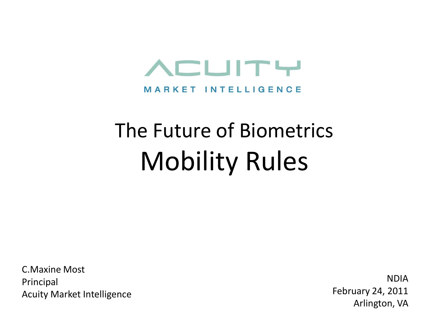#### **NCLITY MARKET INTELLIGENCE**

## The Future of Biometrics Mobility Rules

C.Maxine Most Principal Acuity Market Intelligence

NDIA February 24, 2011 Arlington, VA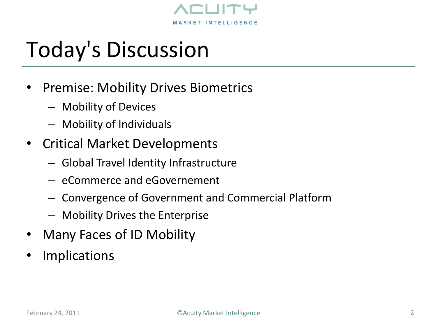

### Today's Discussion

- Premise: Mobility Drives Biometrics
	- Mobility of Devices
	- Mobility of Individuals
- Critical Market Developments
	- Global Travel Identity Infrastructure
	- eCommerce and eGovernement
	- Convergence of Government and Commercial Platform
	- Mobility Drives the Enterprise
- Many Faces of ID Mobility
- **Implications**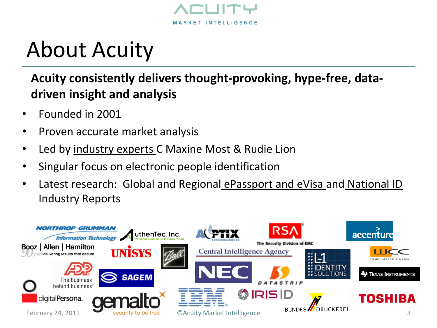

#### About Acuity

#### **Acuity consistently delivers thought-provoking, hype-free, datadriven insight and analysis**

- Founded in 2001
- **Proven accurate market analysis**
- Led by *industry experts* C Maxine Most & Rudie Lion
- Singular focus on electronic people identification
- Latest research: Global and Regional ePassport and eVisa and National ID Industry Reports

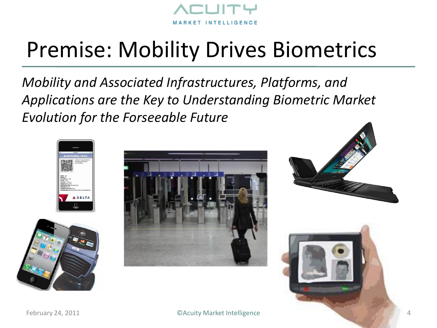

#### Premise: Mobility Drives Biometrics

*Mobility and Associated Infrastructures, Platforms, and Applications are the Key to Understanding Biometric Market Evolution for the Forseeable Future*







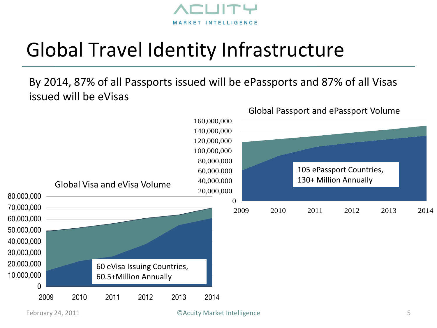

#### Global Travel Identity Infrastructure

By 2014, 87% of all Passports issued will be ePassports and 87% of all Visas issued will be eVisas

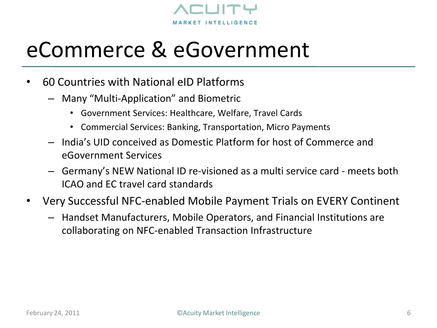

#### eCommerce & eGovernment

- 60 Countries with National eID Platforms
	- Many "Multi-Application" and Biometric
		- Government Services: Healthcare, Welfare, Travel Cards
		- Commercial Services: Banking, Transportation, Micro Payments
	- India's UID conceived as Domestic Platform for host of Commerce and eGovernment Services
	- Germany's NEW National ID re-visioned as a multi service card meets both ICAO and EC travel card standards
- Very Successful NFC-enabled Mobile Payment Trials on EVERY Continent
	- Handset Manufacturers, Mobile Operators, and Financial Institutions are collaborating on NFC-enabled Transaction Infrastructure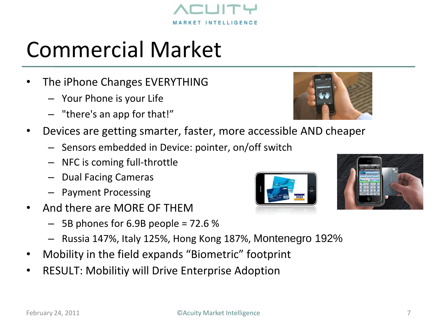### Commercial Market

- The iPhone Changes EVERYTHING
	- Your Phone is your Life
	- "there's an app for that!"
- Devices are getting smarter, faster, more accessible AND cheaper
	- Sensors embedded in Device: pointer, on/off switch
	- NFC is coming full-throttle
	- Dual Facing Cameras
	- Payment Processing
- And there are MORE OF THEM
	- $-5B$  phones for 6.9B people = 72.6 %
	- Russia 147%, Italy 125%, Hong Kong 187%, Montenegro 192%
- Mobility in the field expands "Biometric" footprint
- RESULT: Mobilitiy will Drive Enterprise Adoption







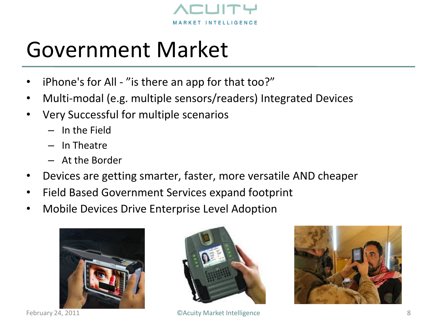

#### Government Market

- iPhone's for All "is there an app for that too?"
- Multi-modal (e.g. multiple sensors/readers) Integrated Devices
- Very Successful for multiple scenarios
	- In the Field
	- In Theatre
	- At the Border
- Devices are getting smarter, faster, more versatile AND cheaper
- Field Based Government Services expand footprint
- Mobile Devices Drive Enterprise Level Adoption





February 24, 2011 **Example 24, 2011** CAcuity Market Intelligence **8** 8

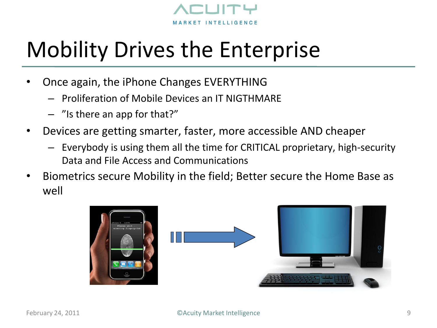

### Mobility Drives the Enterprise

- Once again, the iPhone Changes EVERYTHING
	- Proliferation of Mobile Devices an IT NIGTHMARE
	- "Is there an app for that?"
- Devices are getting smarter, faster, more accessible AND cheaper
	- Everybody is using them all the time for CRITICAL proprietary, high-security Data and File Access and Communications
- Biometrics secure Mobility in the field; Better secure the Home Base as well

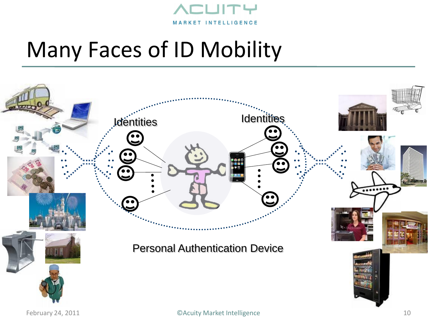#### $\blacksquare$ **MARKET INTELLIGENCE**

#### Many Faces of ID Mobility

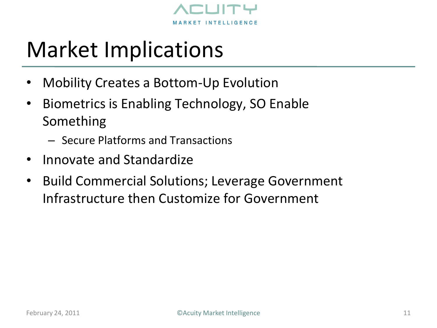

#### Market Implications

- Mobility Creates a Bottom-Up Evolution
- Biometrics is Enabling Technology, SO Enable Something
	- Secure Platforms and Transactions
- Innovate and Standardize
- Build Commercial Solutions; Leverage Government Infrastructure then Customize for Government